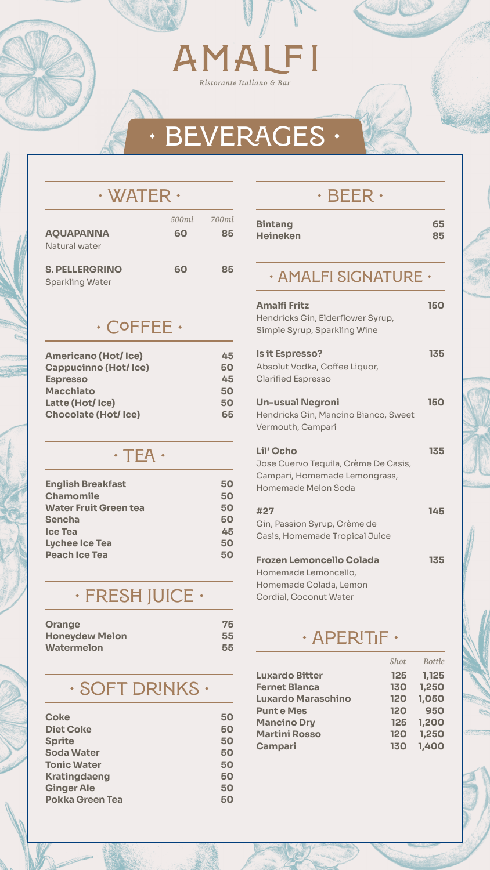# AMALFI

Ristorante Italiano & Bar

### **• BEVERAGES •**

#### **• Water •**

|                        |    | 500ml 700ml |
|------------------------|----|-------------|
| <b>AQUAPANNA</b>       | 60 | 85          |
| Natural water          |    |             |
| <b>S. PELLERGRINO</b>  | 60 | 85          |
|                        |    |             |
| <b>Sparkling Water</b> |    |             |

#### **• Coffee •**

| <b>Americano (Hot/Ice)</b>  | 45 |
|-----------------------------|----|
| <b>Cappucinno (Hot/Ice)</b> | 50 |
| <b>Espresso</b>             | 45 |
| <b>Macchiato</b>            | 50 |
| Latte (Hot/Ice)             | 50 |

#### **Chocolate (Hot/ Ice) 65**

#### **• Beer •**

| <b>Bintang</b>  | 65 |
|-----------------|----|
| <b>Heineken</b> | 85 |

#### **• Amalfi Signature •**

| <b>Amalfi Fritz</b><br>Hendricks Gin, Elderflower Syrup,<br>Simple Syrup, Sparkling Wine | <b>150</b> |
|------------------------------------------------------------------------------------------|------------|
| <b>Is it Espresso?</b><br>Absolut Vodka, Coffee Liquor,<br><b>Clarified Espresso</b>     | 135        |
| <b>Un-usual Negroni</b>                                                                  | 150        |

Hendricks Gin, Mancino Bianco, Sweet Vermouth, Campari

#### **Lil' Ocho 135**

Jose Cuervo Tequila, Crème De Casis, Campari, Homemade Lemongrass, Homemade Melon Soda

| #27                            | 145 |
|--------------------------------|-----|
| Gin, Passion Syrup, Crème de   |     |
| Casis, Homemade Tropical Juice |     |
|                                |     |

#### **Frozen Lemoncello Colada 135** Homemade Lemoncello, Homemade Colada, Lemon Cordial, Coconut Water

#### **• Tea •**

| <b>English Breakfast</b>     | 50 |
|------------------------------|----|
| <b>Chamomile</b>             | 50 |
| <b>Water Fruit Green tea</b> | 50 |
| <b>Sencha</b>                | 50 |
| <b>Ice Tea</b>               | 45 |
| <b>Lychee Ice Tea</b>        | 50 |
| <b>Peach Ice Tea</b>         | 50 |

### **• FreSħ JUICe •**

| <b>Orange</b>         | 75 |
|-----------------------|----|
| <b>Honeydew Melon</b> | 55 |
| <b>Watermelon</b>     | 55 |

#### **• Soft dRinks •**

| 50 |
|----|
| 50 |
| 50 |
| 50 |
| 50 |
| 50 |
| 50 |
| 50 |
|    |

#### **• Aperitif •**

|                           | <b>Shot</b> | <b>Bottle</b> |
|---------------------------|-------------|---------------|
| <b>Luxardo Bitter</b>     | <b>125</b>  | 1,125         |
| <b>Fernet Blanca</b>      | <b>130</b>  | 1,250         |
| <b>Luxardo Maraschino</b> | <b>120</b>  | 1,050         |
| <b>Punte Mes</b>          | <b>120</b>  | 950           |
| <b>Mancino Dry</b>        | 125         | 1,200         |
| <b>Martini Rosso</b>      | <b>120</b>  | 1,250         |
| Campari                   | <b>130</b>  | 1,400         |



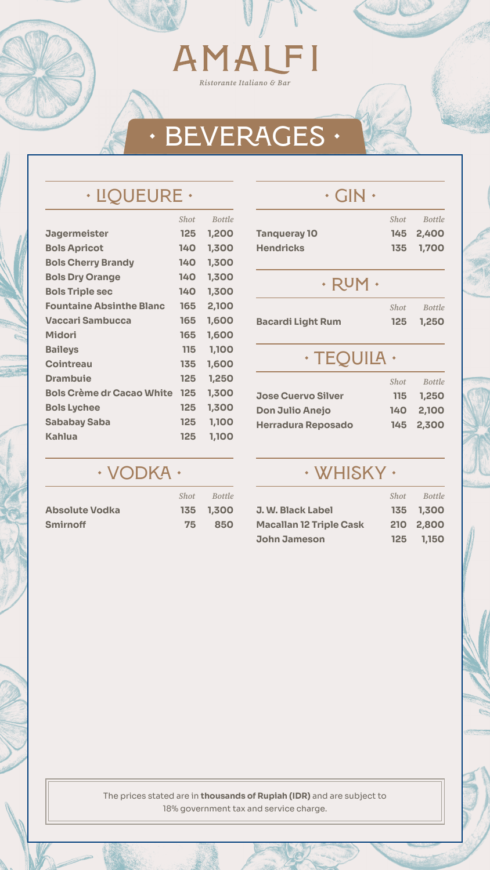# AMALFI

Ristorante Italiano & Bar

### **• LIQUeUre •**

|                                  | <b>Shot</b> | <b>Bottle</b> |
|----------------------------------|-------------|---------------|
| <b>Jagermeister</b>              | 125         | 1,200         |
| <b>Bols Apricot</b>              | <b>140</b>  | 1,300         |
| <b>Bols Cherry Brandy</b>        | <b>140</b>  | 1,300         |
| <b>Bols Dry Orange</b>           | 140         | 1,300         |
| <b>Bols Triple sec</b>           | 140         | 1,300         |
| <b>Fountaine Absinthe Blanc</b>  | 165         | 2,100         |
| Vaccari Sambucca                 | 165         | 1,600         |
| Midori                           | 165         | 1,600         |
| <b>Baileys</b>                   | 115         | 1,100         |
| <b>Cointreau</b>                 | 135         | 1,600         |
| <b>Drambuie</b>                  | 125         | 1,250         |
| <b>Bols Crème dr Cacao White</b> | 125         | 1,300         |
| <b>Bols Lychee</b>               | 125         | 1,300         |
| <b>Sababay Saba</b>              | <b>125</b>  | 1,100         |
| Kahlua                           | 125         | 1,100         |
|                                  |             |               |

#### **• Vodka •**

|                       | <b>Shot</b> | <b>Bottle</b> |
|-----------------------|-------------|---------------|
| <b>Absolute Vodka</b> |             | 135 1,300     |
| <b>Smirnoff</b>       | 75          | 850           |

**• gIN •**



|                           | <b>Shot</b> | <b>Bottle</b> |
|---------------------------|-------------|---------------|
| <b>Tanqueray 10</b>       | <b>145</b>  | 2,400         |
| <b>Hendricks</b>          | 135         | 1,700         |
| $\cdot$ RUM $\cdot$       |             |               |
|                           | <b>Shot</b> | <b>Bottle</b> |
| <b>Bacardi Light Rum</b>  | 125         | 1,250         |
| · TEQUILA ·               |             |               |
|                           | <b>Shot</b> | <b>Bottle</b> |
| <b>Jose Cuervo Silver</b> | 115         | 1,250         |

| <b>Don Julio Anejo</b>    | 140 2,100 |
|---------------------------|-----------|
| <b>Herradura Reposado</b> | 145 2,300 |

#### **• Whisky •**

|                                | <b>Shot</b> | <b>Bottle</b> |
|--------------------------------|-------------|---------------|
| <b>J. W. Black Label</b>       |             | 135 1,300     |
| <b>Macallan 12 Triple Cask</b> |             | 210 2,800     |
| <b>John Jameson</b>            | <b>125</b>  | 1,150         |



## **• BEVERAGES •**

The prices stated are in **thousands of Rupiah (IDR)** and are subject to 18% government tax and service charge.

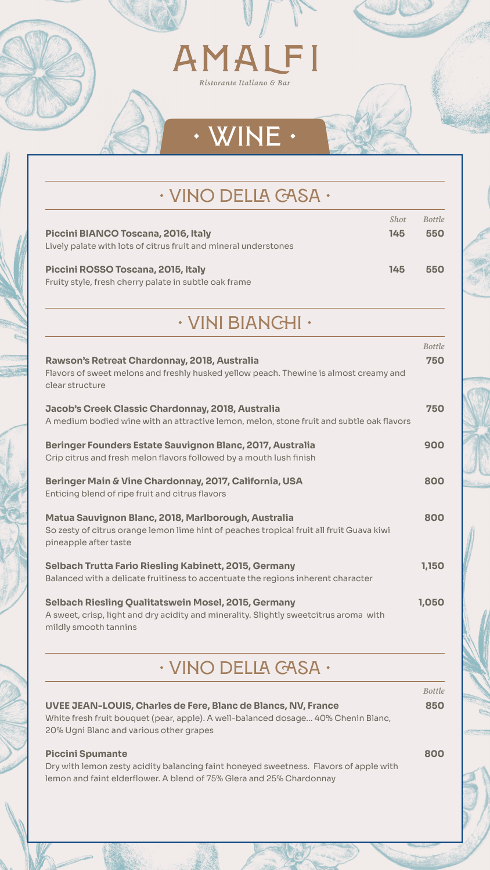

### **• VIno della Casa •**

|                                                                 | <b>Shot</b> | <b>Bottle</b> |
|-----------------------------------------------------------------|-------------|---------------|
| <b>Piccini BIANCO Toscana, 2016, Italy</b>                      | 145         | 550           |
| Lively palate with lots of citrus fruit and mineral understones |             |               |
| Piccini ROSSO Toscana, 2015, Italy                              | 145         | 550           |
| Fruity style, fresh cherry palate in subtle oak frame           |             |               |

#### **• VIni Bianchi •**

#### **Rawson's Retreat Chardonnay, 2018, Australia 750**

Flavors of sweet melons and freshly husked yellow peach. Thewine is almost creamy and clear structure

| Jacob's Creek Classic Chardonnay, 2018, Australia<br>A medium bodied wine with an attractive lemon, melon, stone fruit and subtle oak flavors                                                        | 750           |
|------------------------------------------------------------------------------------------------------------------------------------------------------------------------------------------------------|---------------|
| Beringer Founders Estate Sauvignon Blanc, 2017, Australia<br>Crip citrus and fresh melon flavors followed by a mouth lush finish                                                                     | 900           |
| Beringer Main & Vine Chardonnay, 2017, California, USA<br>Enticing blend of ripe fruit and citrus flavors                                                                                            | 800           |
| Matua Sauvignon Blanc, 2018, Marlborough, Australia<br>So zesty of citrus orange lemon lime hint of peaches tropical fruit all fruit Guava kiwi<br>pineapple after taste                             | 800           |
| <b>Selbach Trutta Fario Riesling Kabinett, 2015, Germany</b><br>Balanced with a delicate fruitiness to accentuate the regions inherent character                                                     | 1,150         |
| <b>Selbach Riesling Qualitatswein Mosel, 2015, Germany</b><br>A sweet, crisp, light and dry acidity and minerality. Slightly sweetcitrus aroma with<br>mildly smooth tannins                         | 1,050         |
| <b>· VINO DELLA GASA ·</b>                                                                                                                                                                           |               |
|                                                                                                                                                                                                      | <b>Bottle</b> |
| <b>UVEE JEAN-LOUIS, Charles de Fere, Blanc de Blancs, NV, France</b><br>White fresh fruit bouquet (pear, apple). A well-balanced dosage 40% Chenin Blanc,<br>20% Ugni Blanc and various other grapes | 850           |
| <b>Piccini Spumante</b><br>Dry with lemon zesty acidity balancing faint honeyed sweetness. Flavors of apple with<br>lemon and faint elderflower. A blend of 75% Glera and 25% Chardonnay             | 800           |



*Bottle*